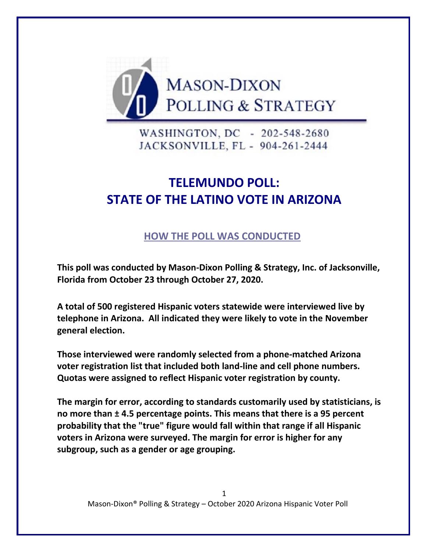

WASHINGTON, DC - 202-548-2680 JACKSONVILLE, FL - 904-261-2444

# **TELEMUNDO POLL: STATE OF THE LATINO VOTE IN ARIZONA**

# **HOW THE POLL WAS CONDUCTED**

**This poll was conducted by Mason-Dixon Polling & Strategy, Inc. of Jacksonville, Florida from October 23 through October 27, 2020.** 

**A total of 500 registered Hispanic voters statewide were interviewed live by telephone in Arizona. All indicated they were likely to vote in the November general election.**

**Those interviewed were randomly selected from a phone-matched Arizona voter registration list that included both land-line and cell phone numbers. Quotas were assigned to reflect Hispanic voter registration by county.**

**The margin for error, according to standards customarily used by statisticians, is no more than ± 4.5 percentage points. This means that there is a 95 percent probability that the "true" figure would fall within that range if all Hispanic voters in Arizona were surveyed. The margin for error is higher for any subgroup, such as a gender or age grouping.**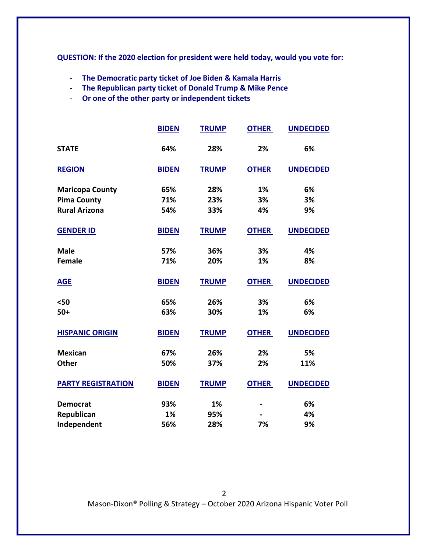**QUESTION: If the 2020 election for president were held today, would you vote for:**

- **The Democratic party ticket of Joe Biden & Kamala Harris**
- **The Republican party ticket of Donald Trump & Mike Pence**
- **Or one of the other party or independent tickets**

|                           | <b>BIDEN</b> | <b>TRUMP</b> | <b>OTHER</b> | <b>UNDECIDED</b> |
|---------------------------|--------------|--------------|--------------|------------------|
| <b>STATE</b>              | 64%          | 28%          | 2%           | 6%               |
| <b>REGION</b>             | <b>BIDEN</b> | <b>TRUMP</b> | <b>OTHER</b> | <b>UNDECIDED</b> |
| <b>Maricopa County</b>    | 65%          | 28%          | 1%           | 6%               |
| <b>Pima County</b>        | 71%          | 23%          | 3%           | 3%               |
| <b>Rural Arizona</b>      | 54%          | 33%          | 4%           | 9%               |
| <b>GENDER ID</b>          | <b>BIDEN</b> | <b>TRUMP</b> | <b>OTHER</b> | <b>UNDECIDED</b> |
| <b>Male</b>               | 57%          | 36%          | 3%           | 4%               |
| <b>Female</b>             | 71%          | 20%          | 1%           | 8%               |
| <b>AGE</b>                | <b>BIDEN</b> | <b>TRUMP</b> | <b>OTHER</b> | <b>UNDECIDED</b> |
| $50$                      | 65%          | 26%          | 3%           | 6%               |
| $50+$                     | 63%          | 30%          | 1%           | 6%               |
| <b>HISPANIC ORIGIN</b>    | <b>BIDEN</b> | <b>TRUMP</b> | <b>OTHER</b> | <b>UNDECIDED</b> |
| <b>Mexican</b>            | 67%          | 26%          | 2%           | 5%               |
| <b>Other</b>              | 50%          | 37%          | 2%           | 11%              |
| <b>PARTY REGISTRATION</b> | <b>BIDEN</b> | <b>TRUMP</b> | <b>OTHER</b> | <b>UNDECIDED</b> |
| <b>Democrat</b>           | 93%          | 1%           |              | 6%               |
| Republican                | 1%           | 95%          |              | 4%               |
| Independent               | 56%          | 28%          | 7%           | 9%               |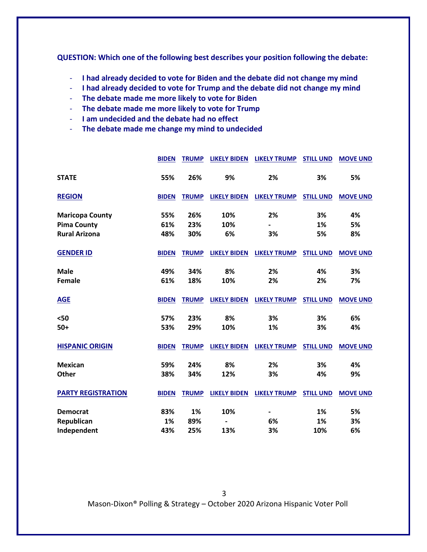**QUESTION: Which one of the following best describes your position following the debate:**

- **I had already decided to vote for Biden and the debate did not change my mind**
- **I had already decided to vote for Trump and the debate did not change my mind**
- **The debate made me more likely to vote for Biden**
- **The debate made me more likely to vote for Trump**
- **I am undecided and the debate had no effect**
- **The debate made me change my mind to undecided**

|                           | <b>BIDEN</b> | <b>TRUMP</b> | <b>LIKELY BIDEN</b> | <b>LIKELY TRUMP</b>          | <b>STILL UND</b> | <b>MOVE UND</b> |
|---------------------------|--------------|--------------|---------------------|------------------------------|------------------|-----------------|
| <b>STATE</b>              | 55%          | 26%          | 9%                  | 2%                           | 3%               | 5%              |
| <b>REGION</b>             | <b>BIDEN</b> | <b>TRUMP</b> | <b>LIKELY BIDEN</b> | <b>LIKELY TRUMP</b>          | <b>STILL UND</b> | <b>MOVE UND</b> |
| <b>Maricopa County</b>    | 55%          | 26%          | 10%                 | 2%                           | 3%               | 4%              |
| <b>Pima County</b>        | 61%          | 23%          | 10%                 | $\overline{\phantom{0}}$     | 1%               | 5%              |
| <b>Rural Arizona</b>      | 48%          | 30%          | 6%                  | 3%                           | 5%               | 8%              |
| <b>GENDER ID</b>          | <b>BIDEN</b> | <b>TRUMP</b> | <b>LIKELY BIDEN</b> | <b>LIKELY TRUMP</b>          | <b>STILL UND</b> | <b>MOVE UND</b> |
| <b>Male</b>               | 49%          | 34%          | 8%                  | 2%                           | 4%               | 3%              |
| <b>Female</b>             | 61%          | 18%          | 10%                 | 2%                           | 2%               | 7%              |
| <b>AGE</b>                | <b>BIDEN</b> | <b>TRUMP</b> | <b>LIKELY BIDEN</b> | <b>LIKELY TRUMP</b>          | <b>STILL UND</b> | <b>MOVE UND</b> |
| $50$                      | 57%          | 23%          | 8%                  | 3%                           | 3%               | 6%              |
| $50+$                     | 53%          | 29%          | 10%                 | 1%                           | 3%               | 4%              |
| <b>HISPANIC ORIGIN</b>    | <b>BIDEN</b> | <b>TRUMP</b> | <b>LIKELY BIDEN</b> | <b>LIKELY TRUMP</b>          | <b>STILL UND</b> | <b>MOVE UND</b> |
| <b>Mexican</b>            | 59%          | 24%          | 8%                  | 2%                           | 3%               | 4%              |
| Other                     | 38%          | 34%          | 12%                 | 3%                           | 4%               | 9%              |
| <b>PARTY REGISTRATION</b> | <b>BIDEN</b> | <b>TRUMP</b> | <b>LIKELY BIDEN</b> | <b>LIKELY TRUMP</b>          | <b>STILL UND</b> | <b>MOVE UND</b> |
| <b>Democrat</b>           | 83%          | 1%           | 10%                 | $\qquad \qquad \blacksquare$ | 1%               | 5%              |
| Republican                | 1%           | 89%          |                     | 6%                           | 1%               | 3%              |
| Independent               | 43%          | 25%          | 13%                 | 3%                           | 10%              | 6%              |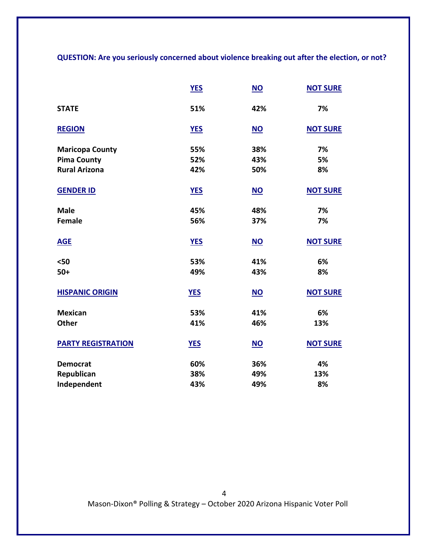**QUESTION: Are you seriously concerned about violence breaking out after the election, or not?**

|                           | <b>YES</b> | $NO$ | <b>NOT SURE</b> |
|---------------------------|------------|------|-----------------|
| <b>STATE</b>              | 51%        | 42%  | 7%              |
| <b>REGION</b>             | <b>YES</b> | $NO$ | <b>NOT SURE</b> |
| <b>Maricopa County</b>    | 55%        | 38%  | 7%              |
| <b>Pima County</b>        | 52%        | 43%  | 5%              |
| <b>Rural Arizona</b>      | 42%        | 50%  | 8%              |
| <b>GENDER ID</b>          | <b>YES</b> | $NO$ | <b>NOT SURE</b> |
| <b>Male</b>               | 45%        | 48%  | 7%              |
| <b>Female</b>             | 56%        | 37%  | 7%              |
| <b>AGE</b>                | <b>YES</b> | $NO$ | <b>NOT SURE</b> |
| $50$                      | 53%        | 41%  | 6%              |
| $50+$                     | 49%        | 43%  | 8%              |
| <b>HISPANIC ORIGIN</b>    | <b>YES</b> | $NO$ | <b>NOT SURE</b> |
| <b>Mexican</b>            | 53%        | 41%  | 6%              |
| <b>Other</b>              | 41%        | 46%  | 13%             |
| <b>PARTY REGISTRATION</b> | <b>YES</b> | $NO$ | <b>NOT SURE</b> |
| <b>Democrat</b>           | 60%        | 36%  | 4%              |
| Republican                | 38%        | 49%  | 13%             |
| Independent               | 43%        | 49%  | 8%              |

4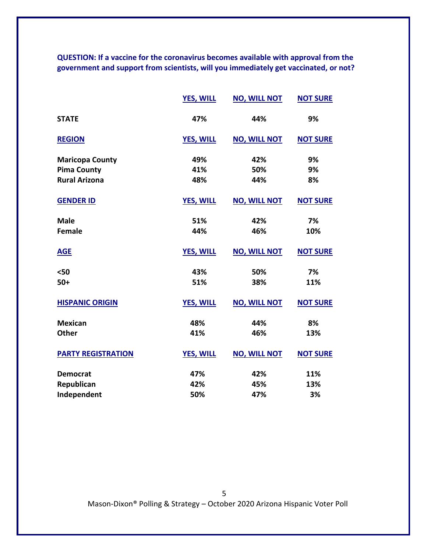**QUESTION: If a vaccine for the coronavirus becomes available with approval from the government and support from scientists, will you immediately get vaccinated, or not?** 

|                           | <b>YES, WILL</b> | <b>NO, WILL NOT</b> | <b>NOT SURE</b> |
|---------------------------|------------------|---------------------|-----------------|
| <b>STATE</b>              | 47%              | 44%                 | 9%              |
| <b>REGION</b>             | <b>YES, WILL</b> | <b>NO, WILL NOT</b> | <b>NOT SURE</b> |
| <b>Maricopa County</b>    | 49%              | 42%                 | 9%              |
| <b>Pima County</b>        | 41%              | 50%                 | 9%              |
| <b>Rural Arizona</b>      | 48%              | 44%                 | 8%              |
| <b>GENDER ID</b>          | <b>YES, WILL</b> | <b>NO, WILL NOT</b> | <b>NOT SURE</b> |
| <b>Male</b>               | 51%              | 42%                 | 7%              |
| <b>Female</b>             | 44%              | 46%                 | 10%             |
| <b>AGE</b>                | <b>YES, WILL</b> | <b>NO, WILL NOT</b> | <b>NOT SURE</b> |
| $50$                      | 43%              | 50%                 | 7%              |
| $50+$                     | 51%              | 38%                 | 11%             |
| <b>HISPANIC ORIGIN</b>    | <b>YES, WILL</b> | <b>NO, WILL NOT</b> | <b>NOT SURE</b> |
| <b>Mexican</b>            | 48%              | 44%                 | 8%              |
| <b>Other</b>              | 41%              | 46%                 | 13%             |
| <b>PARTY REGISTRATION</b> | <b>YES, WILL</b> | <b>NO, WILL NOT</b> | <b>NOT SURE</b> |
| <b>Democrat</b>           | 47%              | 42%                 | 11%             |
| Republican                | 42%              | 45%                 | 13%             |
| Independent               | 50%              | 47%                 | 3%              |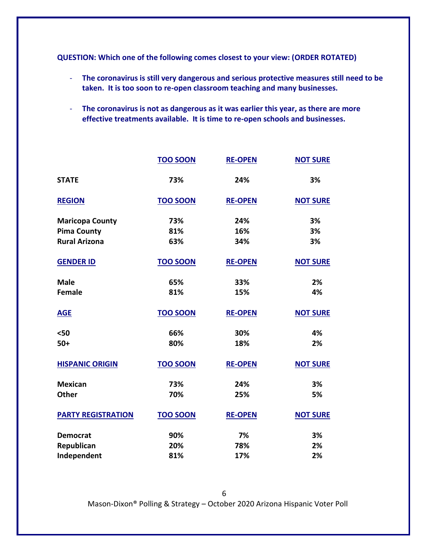**QUESTION: Which one of the following comes closest to your view: (ORDER ROTATED)**

- **The coronavirus is still very dangerous and serious protective measures still need to be taken. It is too soon to re-open classroom teaching and many businesses.**
- **The coronavirus is not as dangerous as it was earlier this year, as there are more effective treatments available. It is time to re-open schools and businesses.**

|                           | <b>TOO SOON</b> | <b>RE-OPEN</b> | <b>NOT SURE</b> |
|---------------------------|-----------------|----------------|-----------------|
| <b>STATE</b>              | 73%             | 24%            | 3%              |
| <b>REGION</b>             | <b>TOO SOON</b> | <b>RE-OPEN</b> | <b>NOT SURE</b> |
| <b>Maricopa County</b>    | 73%             | 24%            | 3%              |
| <b>Pima County</b>        | 81%             | 16%            | 3%              |
| <b>Rural Arizona</b>      | 63%             | 34%            | 3%              |
| <b>GENDER ID</b>          | <b>TOO SOON</b> | <b>RE-OPEN</b> | <b>NOT SURE</b> |
| <b>Male</b>               | 65%             | 33%            | 2%              |
| <b>Female</b>             | 81%             | 15%            | 4%              |
| <b>AGE</b>                | <b>TOO SOON</b> | <b>RE-OPEN</b> | <b>NOT SURE</b> |
| $50$                      | 66%             | 30%            | 4%              |
| $50+$                     | 80%             | 18%            | 2%              |
| <b>HISPANIC ORIGIN</b>    | <b>TOO SOON</b> | <b>RE-OPEN</b> | <b>NOT SURE</b> |
| <b>Mexican</b>            | 73%             | 24%            | 3%              |
| <b>Other</b>              | 70%             | 25%            | 5%              |
| <b>PARTY REGISTRATION</b> | <b>TOO SOON</b> | <b>RE-OPEN</b> | <b>NOT SURE</b> |
| <b>Democrat</b>           | 90%             | 7%             | 3%              |
| Republican                | 20%             | 78%            | 2%              |
| Independent               | 81%             | 17%            | 2%              |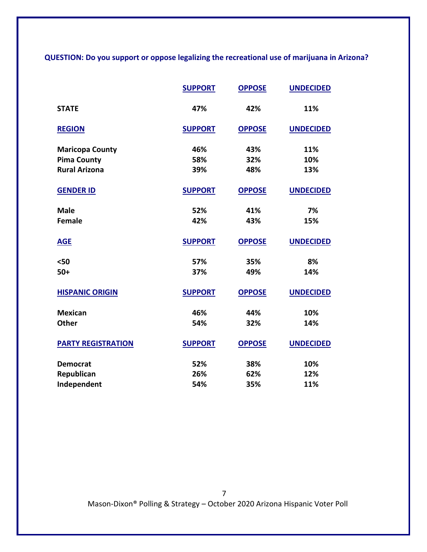**QUESTION: Do you support or oppose legalizing the recreational use of marijuana in Arizona?**

|                           | <b>SUPPORT</b> | <b>OPPOSE</b> | <b>UNDECIDED</b> |
|---------------------------|----------------|---------------|------------------|
| <b>STATE</b>              | 47%            | 42%           | 11%              |
| <b>REGION</b>             | <b>SUPPORT</b> | <b>OPPOSE</b> | <b>UNDECIDED</b> |
| <b>Maricopa County</b>    | 46%            | 43%           | 11%              |
| <b>Pima County</b>        | 58%            | 32%           | 10%              |
| <b>Rural Arizona</b>      | 39%            | 48%           | 13%              |
| <b>GENDER ID</b>          | <b>SUPPORT</b> | <b>OPPOSE</b> | <b>UNDECIDED</b> |
| <b>Male</b>               | 52%            | 41%           | 7%               |
| Female                    | 42%            | 43%           | 15%              |
| <b>AGE</b>                | <b>SUPPORT</b> | <b>OPPOSE</b> | <b>UNDECIDED</b> |
| $50$                      | 57%            | 35%           | 8%               |
| $50+$                     | 37%            | 49%           | 14%              |
| <b>HISPANIC ORIGIN</b>    | <b>SUPPORT</b> | <b>OPPOSE</b> | <b>UNDECIDED</b> |
| <b>Mexican</b>            | 46%            | 44%           | 10%              |
| <b>Other</b>              | 54%            | 32%           | 14%              |
| <b>PARTY REGISTRATION</b> | <b>SUPPORT</b> | <b>OPPOSE</b> | <b>UNDECIDED</b> |
| <b>Democrat</b>           | 52%            | 38%           | 10%              |
| Republican                | 26%            | 62%           | 12%              |
| Independent               | 54%            | 35%           | 11%              |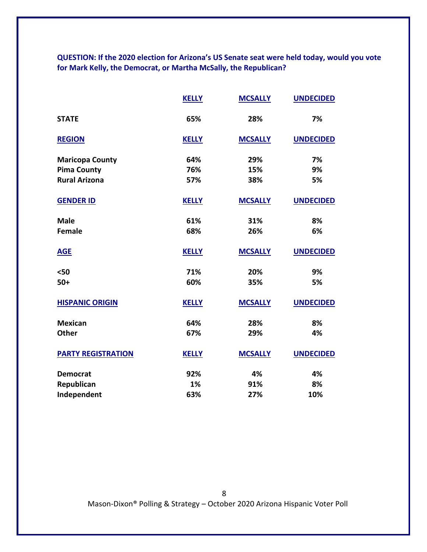**QUESTION: If the 2020 election for Arizona's US Senate seat were held today, would you vote for Mark Kelly, the Democrat, or Martha McSally, the Republican?**

|                           | <b>KELLY</b> | <b>MCSALLY</b> | <b>UNDECIDED</b> |
|---------------------------|--------------|----------------|------------------|
| <b>STATE</b>              | 65%          | 28%            | 7%               |
| <b>REGION</b>             | <b>KELLY</b> | <b>MCSALLY</b> | <b>UNDECIDED</b> |
| <b>Maricopa County</b>    | 64%          | 29%            | 7%               |
| <b>Pima County</b>        | 76%          | 15%            | 9%               |
| <b>Rural Arizona</b>      | 57%          | 38%            | 5%               |
| <b>GENDER ID</b>          | <b>KELLY</b> | <b>MCSALLY</b> | <b>UNDECIDED</b> |
| <b>Male</b>               | 61%          | 31%            | 8%               |
| <b>Female</b>             | 68%          | 26%            | 6%               |
| <b>AGE</b>                | <b>KELLY</b> | <b>MCSALLY</b> | <b>UNDECIDED</b> |
| $50$                      | 71%          | 20%            | 9%               |
| $50+$                     | 60%          | 35%            | 5%               |
| <b>HISPANIC ORIGIN</b>    | <b>KELLY</b> | <b>MCSALLY</b> | <b>UNDECIDED</b> |
| <b>Mexican</b>            | 64%          | 28%            | 8%               |
| <b>Other</b>              | 67%          | 29%            | 4%               |
| <b>PARTY REGISTRATION</b> | <b>KELLY</b> | <b>MCSALLY</b> | <b>UNDECIDED</b> |
| <b>Democrat</b>           | 92%          | 4%             | 4%               |
| Republican                | 1%           | 91%            | 8%               |
| Independent               | 63%          | 27%            | 10%              |

8